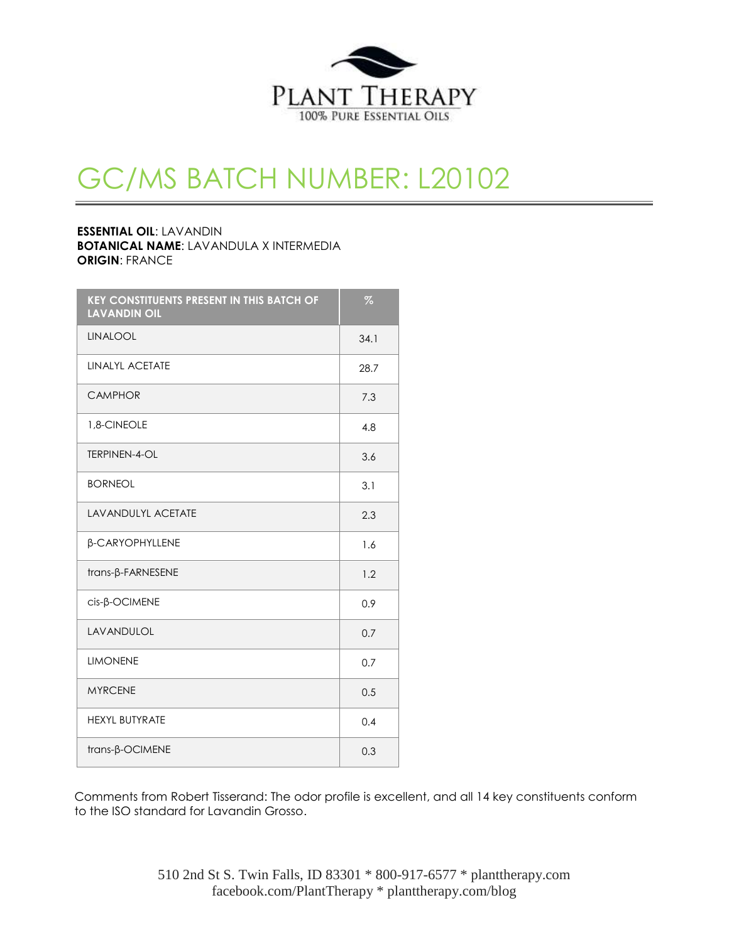

## GC/MS BATCH NUMBER: L20102

## **ESSENTIAL OIL**: LAVANDIN **BOTANICAL NAME**: LAVANDULA X INTERMEDIA **ORIGIN**: FRANCE

| <b>KEY CONSTITUENTS PRESENT IN THIS BATCH OF</b><br><b>LAVANDIN OIL</b> | $\overline{\mathcal{A}}$ |
|-------------------------------------------------------------------------|--------------------------|
| <b>LINALOOL</b>                                                         | 34.1                     |
| LINALYL ACETATE                                                         | 28.7                     |
| <b>CAMPHOR</b>                                                          | 7.3                      |
| 1,8-CINEOLE                                                             | 4.8                      |
| <b>TERPINEN-4-OL</b>                                                    | 3.6                      |
| <b>BORNEOL</b>                                                          | 3.1                      |
| <b>LAVANDULYL ACETATE</b>                                               | 2.3                      |
| β-CARYOPHYLLENE                                                         | 1.6                      |
| trans-β-FARNESENE                                                       | 1.2                      |
| cis-B-OCIMENE                                                           | 0.9                      |
| LAVANDULOL                                                              | 0.7                      |
| <b>LIMONENE</b>                                                         | 0.7                      |
| <b>MYRCENE</b>                                                          | 0.5                      |
| <b>HEXYL BUTYRATE</b>                                                   | 0.4                      |
| trans-β-OCIMENE                                                         | 0.3                      |

Comments from Robert Tisserand: The odor profile is excellent, and all 14 key constituents conform to the ISO standard for Lavandin Grosso.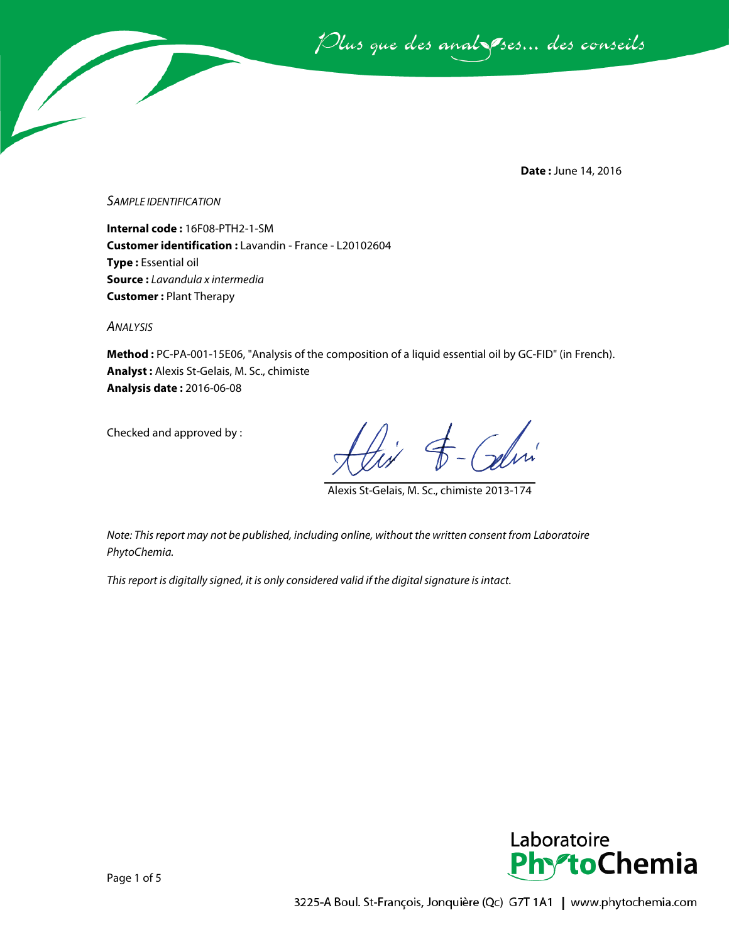Plus que des analsses... des conseils

**Date :** June 14, 2016

*SAMPLE IDENTIFICATION*

**Internal code :** 16F08-PTH2-1-SM **Customer identification :** Lavandin - France - L20102604 **Type :** Essential oil **Source :** *Lavandula x intermedia* **Customer :** Plant Therapy

*ANALYSIS*

**Method :** PC-PA-001-15E06, "Analysis of the composition of a liquid essential oil by GC-FID" (in French). **Analyst :** Alexis St-Gelais, M. Sc., chimiste **Analysis date :** 2016-06-08

Checked and approved by :

Alexis St-Gelais, M. Sc., chimiste 2013-174

*Note: This report may not be published, including online, without the written consent from Laboratoire PhytoChemia.*

*This report is digitally signed, it is only considered valid if the digital signature is intact.*

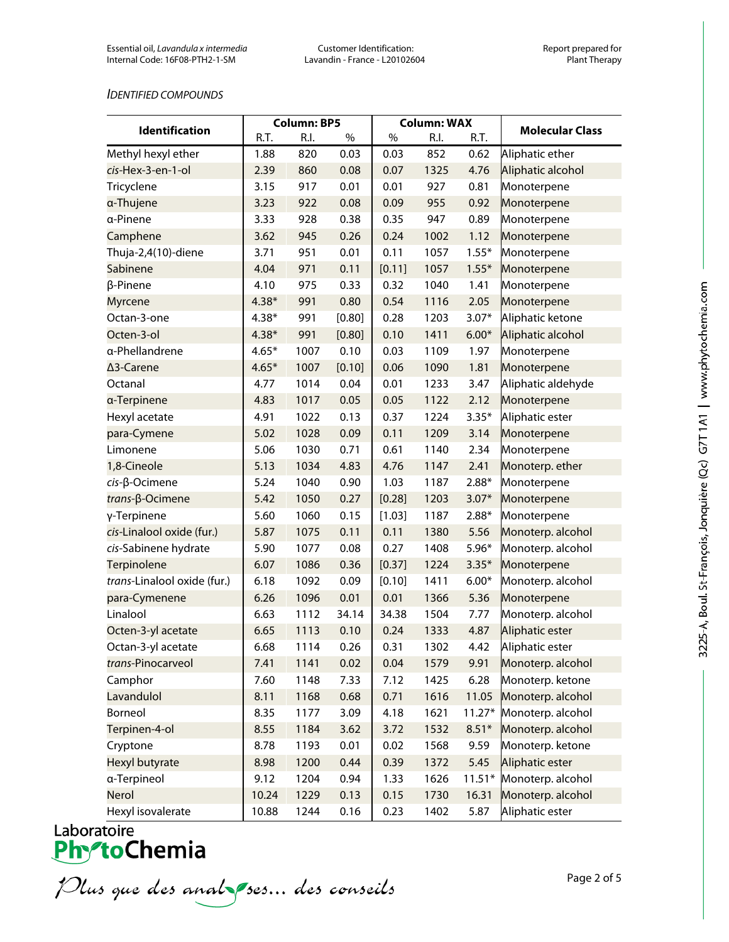## *IDENTIFIED COMPOUNDS*

| <b>Identification</b>       | <b>Column: BP5</b> |      | <b>Column: WAX</b> |        |      |          |                        |
|-----------------------------|--------------------|------|--------------------|--------|------|----------|------------------------|
|                             | R.T.               | R.I. | %                  | $\%$   | R.I. | R.T.     | <b>Molecular Class</b> |
| Methyl hexyl ether          | 1.88               | 820  | 0.03               | 0.03   | 852  | 0.62     | Aliphatic ether        |
| cis-Hex-3-en-1-ol           | 2.39               | 860  | 0.08               | 0.07   | 1325 | 4.76     | Aliphatic alcohol      |
| Tricyclene                  | 3.15               | 917  | 0.01               | 0.01   | 927  | 0.81     | Monoterpene            |
| a-Thujene                   | 3.23               | 922  | 0.08               | 0.09   | 955  | 0.92     | Monoterpene            |
| a-Pinene                    | 3.33               | 928  | 0.38               | 0.35   | 947  | 0.89     | Monoterpene            |
| Camphene                    | 3.62               | 945  | 0.26               | 0.24   | 1002 | 1.12     | Monoterpene            |
| Thuja-2,4(10)-diene         | 3.71               | 951  | 0.01               | 0.11   | 1057 | $1.55*$  | Monoterpene            |
| Sabinene                    | 4.04               | 971  | 0.11               | [0.11] | 1057 | $1.55*$  | Monoterpene            |
| β-Pinene                    | 4.10               | 975  | 0.33               | 0.32   | 1040 | 1.41     | Monoterpene            |
| <b>Myrcene</b>              | $4.38*$            | 991  | 0.80               | 0.54   | 1116 | 2.05     | Monoterpene            |
| Octan-3-one                 | $4.38*$            | 991  | [0.80]             | 0.28   | 1203 | $3.07*$  | Aliphatic ketone       |
| Octen-3-ol                  | $4.38*$            | 991  | [0.80]             | 0.10   | 1411 | $6.00*$  | Aliphatic alcohol      |
| a-Phellandrene              | $4.65*$            | 1007 | 0.10               | 0.03   | 1109 | 1.97     | Monoterpene            |
| ∆3-Carene                   | $4.65*$            | 1007 | [0.10]             | 0.06   | 1090 | 1.81     | Monoterpene            |
| Octanal                     | 4.77               | 1014 | 0.04               | 0.01   | 1233 | 3.47     | Aliphatic aldehyde     |
| a-Terpinene                 | 4.83               | 1017 | 0.05               | 0.05   | 1122 | 2.12     | Monoterpene            |
| Hexyl acetate               | 4.91               | 1022 | 0.13               | 0.37   | 1224 | $3.35*$  | Aliphatic ester        |
| para-Cymene                 | 5.02               | 1028 | 0.09               | 0.11   | 1209 | 3.14     | Monoterpene            |
| Limonene                    | 5.06               | 1030 | 0.71               | 0.61   | 1140 | 2.34     | Monoterpene            |
| 1,8-Cineole                 | 5.13               | 1034 | 4.83               | 4.76   | 1147 | 2.41     | Monoterp. ether        |
| cis-β-Ocimene               | 5.24               | 1040 | 0.90               | 1.03   | 1187 | $2.88*$  | Monoterpene            |
| trans-β-Ocimene             | 5.42               | 1050 | 0.27               | [0.28] | 1203 | $3.07*$  | Monoterpene            |
| γ-Terpinene                 | 5.60               | 1060 | 0.15               | [1.03] | 1187 | $2.88*$  | Monoterpene            |
| cis-Linalool oxide (fur.)   | 5.87               | 1075 | 0.11               | 0.11   | 1380 | 5.56     | Monoterp. alcohol      |
| cis-Sabinene hydrate        | 5.90               | 1077 | 0.08               | 0.27   | 1408 | $5.96*$  | Monoterp. alcohol      |
| Terpinolene                 | 6.07               | 1086 | 0.36               | [0.37] | 1224 | $3.35*$  | Monoterpene            |
| trans-Linalool oxide (fur.) | 6.18               | 1092 | 0.09               | [0.10] | 1411 | $6.00*$  | Monoterp. alcohol      |
| para-Cymenene               | 6.26               | 1096 | 0.01               | 0.01   | 1366 | 5.36     | Monoterpene            |
| Linalool                    | 6.63               | 1112 | 34.14              | 34.38  | 1504 | 7.77     | Monoterp. alcohol      |
| Octen-3-yl acetate          | 6.65               | 1113 | 0.10               | 0.24   | 1333 | 4.87     | Aliphatic ester        |
| Octan-3-yl acetate          | 6.68               | 1114 | 0.26               | 0.31   | 1302 | 4.42     | Aliphatic ester        |
| trans-Pinocarveol           | 7.41               | 1141 | 0.02               | 0.04   | 1579 | 9.91     | Monoterp. alcohol      |
| Camphor                     | 7.60               | 1148 | 7.33               | 7.12   | 1425 | 6.28     | Monoterp. ketone       |
| Lavandulol                  | 8.11               | 1168 | 0.68               | 0.71   | 1616 | 11.05    | Monoterp. alcohol      |
| Borneol                     | 8.35               | 1177 | 3.09               | 4.18   | 1621 | $11.27*$ | Monoterp. alcohol      |
| Terpinen-4-ol               | 8.55               | 1184 | 3.62               | 3.72   | 1532 | $8.51*$  | Monoterp. alcohol      |
| Cryptone                    | 8.78               | 1193 | 0.01               | 0.02   | 1568 | 9.59     | Monoterp. ketone       |
| Hexyl butyrate              | 8.98               | 1200 | 0.44               | 0.39   | 1372 | 5.45     | Aliphatic ester        |
| a-Terpineol                 | 9.12               | 1204 | 0.94               | 1.33   | 1626 | $11.51*$ | Monoterp. alcohol      |
| Nerol                       | 10.24              | 1229 | 0.13               | 0.15   | 1730 | 16.31    | Monoterp. alcohol      |
| Hexyl isovalerate           | 10.88              | 1244 | 0.16               | 0.23   | 1402 | 5.87     | Aliphatic ester        |

Plus que des analzes... des conseils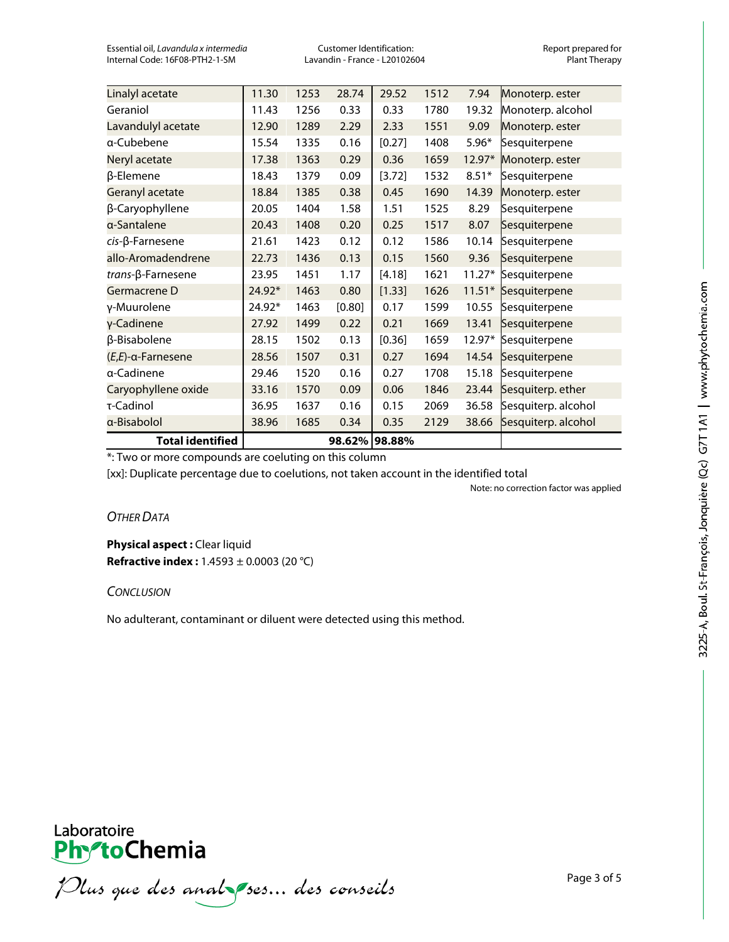Essential oil, *Lavandula x intermedia* Customer Identification: Customer Identification: Report prepared for<br>Internal Code: 16F08-PTH2-1-SM **Customer Cultivation** - France - L20102604 **Customer Customer Propy** Internal Code: 16F08-PTH2-1-SM

| <b>Total identified</b>    |        |      | 98.62% 98.88% |        |      |          |                     |
|----------------------------|--------|------|---------------|--------|------|----------|---------------------|
| a-Bisabolol                | 38.96  | 1685 | 0.34          | 0.35   | 2129 | 38.66    | Sesquiterp. alcohol |
| τ-Cadinol                  | 36.95  | 1637 | 0.16          | 0.15   | 2069 | 36.58    | Sesquiterp. alcohol |
| Caryophyllene oxide        | 33.16  | 1570 | 0.09          | 0.06   | 1846 | 23.44    | Sesquiterp. ether   |
| a-Cadinene                 | 29.46  | 1520 | 0.16          | 0.27   | 1708 | 15.18    | Sesquiterpene       |
| $(E,E)$ -a-Farnesene       | 28.56  | 1507 | 0.31          | 0.27   | 1694 | 14.54    | Sesquiterpene       |
| β-Bisabolene               | 28.15  | 1502 | 0.13          | [0.36] | 1659 | 12.97*   | Sesquiterpene       |
| γ-Cadinene                 | 27.92  | 1499 | 0.22          | 0.21   | 1669 | 13.41    | Sesquiterpene       |
| γ-Muurolene                | 24.92* | 1463 | [0.80]        | 0.17   | 1599 | 10.55    | Sesquiterpene       |
| Germacrene D               | 24.92* | 1463 | 0.80          | [1.33] | 1626 | $11.51*$ | Sesquiterpene       |
| trans-β-Farnesene          | 23.95  | 1451 | 1.17          | [4.18] | 1621 | $11.27*$ | Sesquiterpene       |
| allo-Aromadendrene         | 22.73  | 1436 | 0.13          | 0.15   | 1560 | 9.36     | Sesquiterpene       |
| $cis$ - $\beta$ -Farnesene | 21.61  | 1423 | 0.12          | 0.12   | 1586 | 10.14    | Sesquiterpene       |
| a-Santalene                | 20.43  | 1408 | 0.20          | 0.25   | 1517 | 8.07     | Sesquiterpene       |
| β-Caryophyllene            | 20.05  | 1404 | 1.58          | 1.51   | 1525 | 8.29     | Sesquiterpene       |
| Geranyl acetate            | 18.84  | 1385 | 0.38          | 0.45   | 1690 | 14.39    | Monoterp. ester     |
| β-Elemene                  | 18.43  | 1379 | 0.09          | [3.72] | 1532 | $8.51*$  | Sesquiterpene       |
| Neryl acetate              | 17.38  | 1363 | 0.29          | 0.36   | 1659 | 12.97*   | Monoterp. ester     |
| a-Cubebene                 | 15.54  | 1335 | 0.16          | [0.27] | 1408 | $5.96*$  | Sesquiterpene       |
| Lavandulyl acetate         | 12.90  | 1289 | 2.29          | 2.33   | 1551 | 9.09     | Monoterp. ester     |
| Geraniol                   | 11.43  | 1256 | 0.33          | 0.33   | 1780 | 19.32    | Monoterp. alcohol   |
| Linalyl acetate            | 11.30  | 1253 | 28.74         | 29.52  | 1512 | 7.94     | Monoterp. ester     |

\*: Two or more compounds are coeluting on this column

[xx]: Duplicate percentage due to coelutions, not taken account in the identified total

Note: no correction factor was applied

*OTHER DATA*

**Physical aspect : Clear liquid Refractive index :** 1.4593 ± 0.0003 (20 °C)

*CONCLUSION*

No adulterant, contaminant or diluent were detected using this method.



Plus que des analzes... des conseils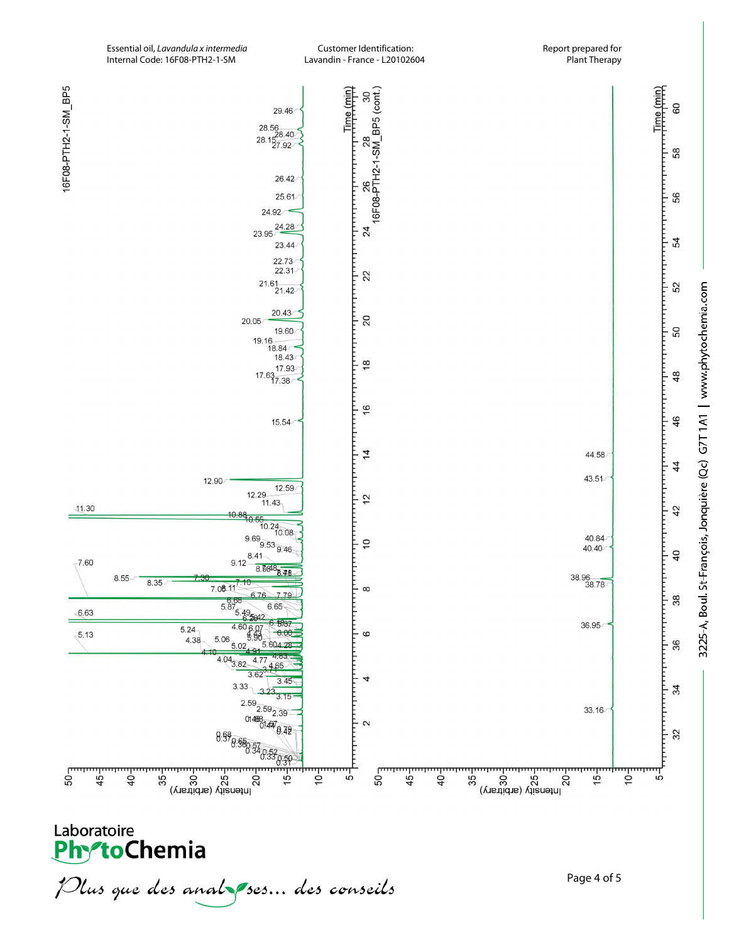Essential oil, *Lavandula x intermedia* Customer Identification: Report prepared for Internal Code: 16F08-PTH2-1-SM



Plus que des analzes... des conseils

Page 4 of 5